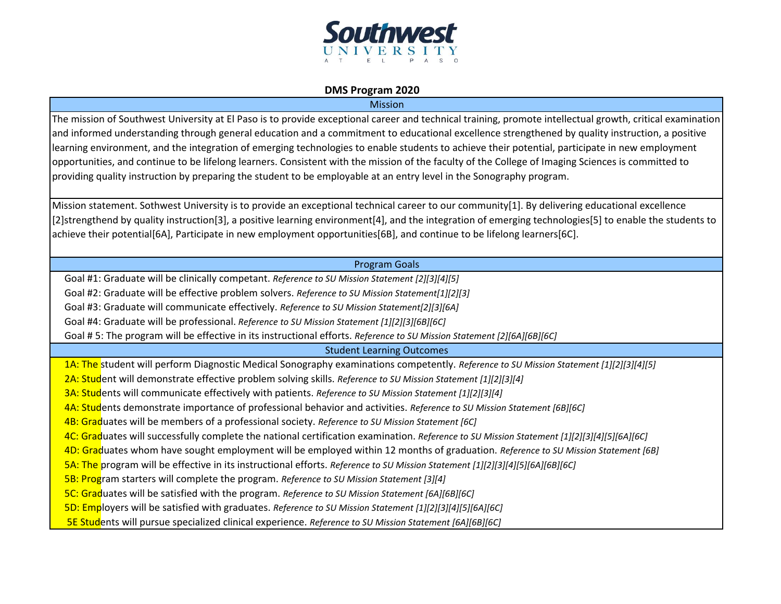

## **DMS Program 2020**

Mission

The mission of Southwest University at El Paso is to provide exceptional career and technical training, promote intellectual growth, critical examination and informed understanding through general education and a commitment to educational excellence strengthened by quality instruction, a positive learning environment, and the integration of emerging technologies to enable students to achieve their potential, participate in new employment opportunities, and continue to be lifelong learners. Consistent with the mission of the faculty of the College of Imaging Sciences is committed to providing quality instruction by preparing the student to be employable at an entry level in the Sonography program.

Mission statement. Sothwest University is to provide an exceptional technical career to our community[1]. By delivering educational excellence [2]strengthend by quality instruction[3], a positive learning environment[4], and the integration of emerging technologies[5] to enable the students to achieve their potential[6A], Participate in new employment opportunities[6B], and continue to be lifelong learners[6C].

## Program Goals

Goal #1: Graduate will be clinically competant. *Reference to SU Mission Statement [2][3][4][5]*

Goal #2: Graduate will be effective problem solvers. *Reference to SU Mission Statement[1][2][3]*

Goal #3: Graduate will communicate effectively. *Reference to SU Mission Statement[2][3][6A]*

Goal #4: Graduate will be professional. *Reference to SU Mission Statement [1][2][3][6B][6C]*

Goal # 5: The program will be effective in its instructional efforts. *Reference to SU Mission Statement [2][6A][6B][6C]*

## Student Learning Outcomes

1A: The student will perform Diagnostic Medical Sonography examinations competently. *Reference to SU Mission Statement [1][2][3][4][5]*

2A: Student will demonstrate effective problem solving skills. *Reference to SU Mission Statement [1][2][3][4]*

3A: Students will communicate effectively with patients. *Reference to SU Mission Statement [1][2][3][4]*

4A: Students demonstrate importance of professional behavior and activities. *Reference to SU Mission Statement [6B][6C]*

4B: Graduates will be members of a professional society. *Reference to SU Mission Statement [6C]*

4C: Graduates will successfully complete the national certification examination. *Reference to SU Mission Statement [1][2][3][4][5][6A][6C]*

4D: Graduates whom have sought employment will be employed within 12 months of graduation. *Reference to SU Mission Statement [6B]*

- 5A: The program will be effective in its instructional efforts. *Reference to SU Mission Statement [1][2][3][4][5][6A][6B][6C]*
- 5B: Program starters will complete the program. *Reference to SU Mission Statement [3][4]*

5C: Graduates will be satisfied with the program. *Reference to SU Mission Statement [6A][6B][6C]*

5D: Employers will be satisfied with graduates. *Reference to SU Mission Statement [1][2][3][4][5][6A][6C]*

5E Students will pursue specialized clinical experience. *Reference to SU Mission Statement [6A][6B][6C]*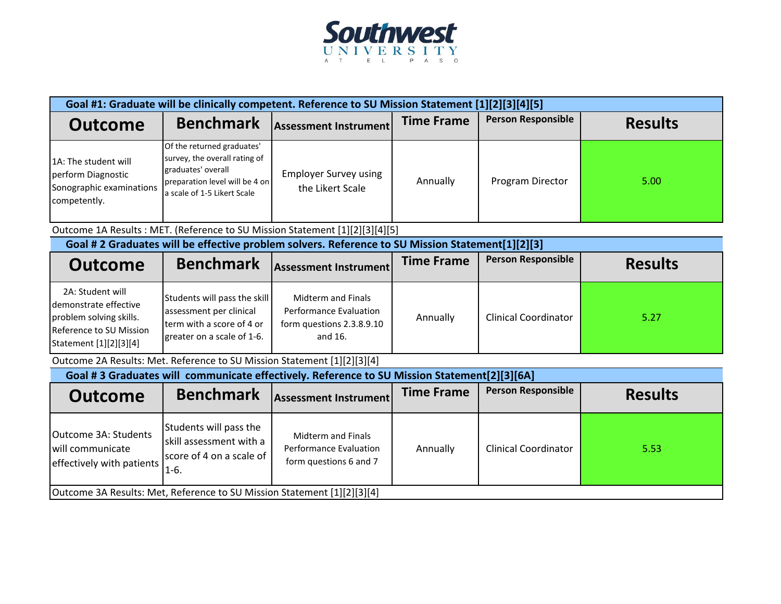

| Goal #1: Graduate will be clinically competent. Reference to SU Mission Statement [1][2][3][4][5]                         |                                                                                                                                                    |                                                                                             |                   |                             |                |  |  |
|---------------------------------------------------------------------------------------------------------------------------|----------------------------------------------------------------------------------------------------------------------------------------------------|---------------------------------------------------------------------------------------------|-------------------|-----------------------------|----------------|--|--|
| <b>Outcome</b>                                                                                                            | <b>Benchmark</b>                                                                                                                                   | <b>Assessment Instrument</b>                                                                | <b>Time Frame</b> | <b>Person Responsible</b>   | <b>Results</b> |  |  |
| 1A: The student will<br>perform Diagnostic<br>Sonographic examinations<br>competently.                                    | Of the returned graduates'<br>survey, the overall rating of<br>graduates' overall<br>preparation level will be 4 on<br>a scale of 1-5 Likert Scale | <b>Employer Survey using</b><br>the Likert Scale                                            | Annually          | Program Director            | 5.00           |  |  |
|                                                                                                                           | Outcome 1A Results : MET. (Reference to SU Mission Statement [1][2][3][4][5]                                                                       |                                                                                             |                   |                             |                |  |  |
| Goal # 2 Graduates will be effective problem solvers. Reference to SU Mission Statement[1][2][3]                          |                                                                                                                                                    |                                                                                             |                   |                             |                |  |  |
| <b>Outcome</b>                                                                                                            | <b>Benchmark</b>                                                                                                                                   | <b>Assessment Instrument</b>                                                                | <b>Time Frame</b> | <b>Person Responsible</b>   | <b>Results</b> |  |  |
| 2A: Student will<br>demonstrate effective<br>problem solving skills.<br>Reference to SU Mission<br>Statement [1][2][3][4] | Students will pass the skill<br>assessment per clinical<br>term with a score of 4 or<br>greater on a scale of 1-6.                                 | Midterm and Finals<br><b>Performance Evaluation</b><br>form questions 2.3.8.9.10<br>and 16. | Annually          | <b>Clinical Coordinator</b> | 5.27           |  |  |
| Outcome 2A Results: Met. Reference to SU Mission Statement [1][2][3][4]                                                   |                                                                                                                                                    |                                                                                             |                   |                             |                |  |  |
| Goal #3 Graduates will communicate effectively. Reference to SU Mission Statement[2][3][6A]                               |                                                                                                                                                    |                                                                                             |                   |                             |                |  |  |
| <b>Outcome</b>                                                                                                            | <b>Benchmark</b>                                                                                                                                   | <b>Assessment Instrument</b>                                                                | <b>Time Frame</b> | <b>Person Responsible</b>   | <b>Results</b> |  |  |
| Outcome 3A: Students<br>will communicate<br>effectively with patients                                                     | Students will pass the<br>skill assessment with a<br>score of 4 on a scale of<br>$1-6.$                                                            | Midterm and Finals<br><b>Performance Evaluation</b><br>form questions 6 and 7               | Annually          | <b>Clinical Coordinator</b> | 5.53           |  |  |
| Outcome 3A Results: Met, Reference to SU Mission Statement [1][2][3][4]                                                   |                                                                                                                                                    |                                                                                             |                   |                             |                |  |  |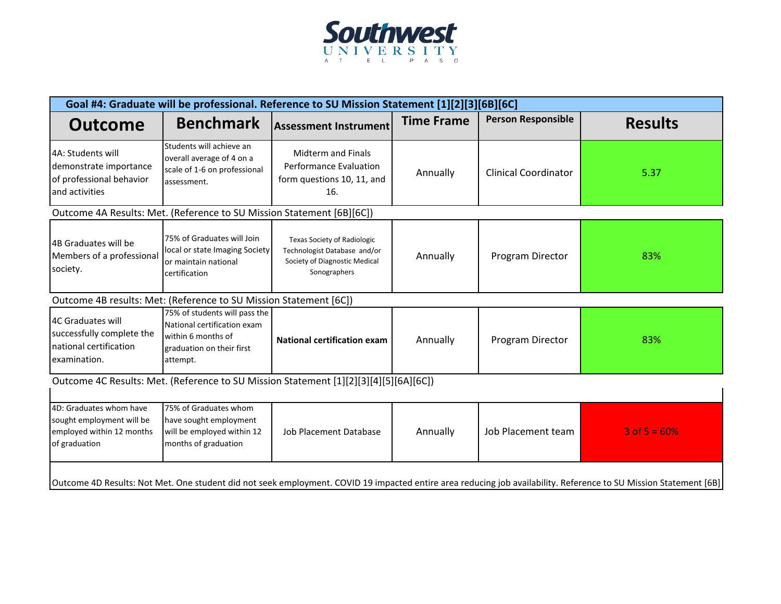

| Goal #4: Graduate will be professional. Reference to SU Mission Statement [1][2][3][6B][6C]                                                                            |                                                                                                                             |                                                                                                                     |                   |                             |                   |  |
|------------------------------------------------------------------------------------------------------------------------------------------------------------------------|-----------------------------------------------------------------------------------------------------------------------------|---------------------------------------------------------------------------------------------------------------------|-------------------|-----------------------------|-------------------|--|
| <b>Outcome</b>                                                                                                                                                         | <b>Benchmark</b>                                                                                                            | <b>Assessment Instrument</b>                                                                                        | <b>Time Frame</b> | <b>Person Responsible</b>   | <b>Results</b>    |  |
| 4A: Students will<br>demonstrate importance<br>of professional behavior<br>and activities                                                                              | Students will achieve an<br>overall average of 4 on a<br>scale of 1-6 on professional<br>assessment.                        | <b>Midterm and Finals</b><br><b>Performance Evaluation</b><br>form questions 10, 11, and<br>16.                     | Annually          | <b>Clinical Coordinator</b> | 5.37              |  |
| Outcome 4A Results: Met. (Reference to SU Mission Statement [6B][6C])                                                                                                  |                                                                                                                             |                                                                                                                     |                   |                             |                   |  |
| 4B Graduates will be<br>Members of a professional<br>society.                                                                                                          | 75% of Graduates will Join<br>local or state Imaging Society<br>or maintain national<br>certification                       | <b>Texas Society of Radiologic</b><br>Technologist Database and/or<br>Society of Diagnostic Medical<br>Sonographers | Annually          | Program Director            | 83%               |  |
| Outcome 4B results: Met: (Reference to SU Mission Statement [6C])                                                                                                      |                                                                                                                             |                                                                                                                     |                   |                             |                   |  |
| 4C Graduates will<br>successfully complete the<br>national certification<br>examination.                                                                               | 75% of students will pass the<br>National certification exam<br>within 6 months of<br>graduation on their first<br>attempt. | <b>National certification exam</b>                                                                                  | Annually          | Program Director            | 83%               |  |
| Outcome 4C Results: Met. (Reference to SU Mission Statement [1][2][3][4][5][6A][6C])                                                                                   |                                                                                                                             |                                                                                                                     |                   |                             |                   |  |
| 4D: Graduates whom have<br>sought employment will be<br>employed within 12 months<br>of graduation                                                                     | 75% of Graduates whom<br>have sought employment<br>will be employed within 12<br>months of graduation                       | <b>Job Placement Database</b>                                                                                       | Annually          | Job Placement team          | $3$ of $5 = 60\%$ |  |
| [68] Outcome 4D Results: Not Met. One student did not seek employment. COVID 19 impacted entire area reducing job availability. Reference to SU Mission Statement [6B] |                                                                                                                             |                                                                                                                     |                   |                             |                   |  |